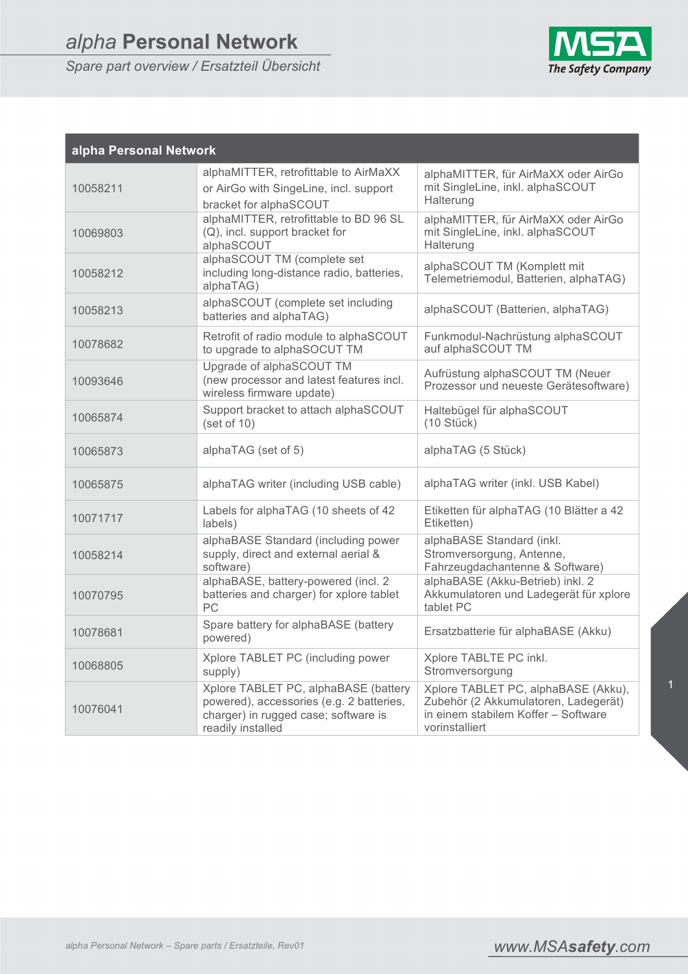*Spare part overview / Ersatzteil Übersicht*



| alpha Personal Network |                                                                                                                                               |                                                                                                                                      |  |
|------------------------|-----------------------------------------------------------------------------------------------------------------------------------------------|--------------------------------------------------------------------------------------------------------------------------------------|--|
| 10058211               | alphaMITTER, retrofittable to AirMaXX<br>or AirGo with SingeLine, incl. support<br>bracket for alphaSCOUT                                     | alphaMITTER, für AirMaXX oder AirGo<br>mit SingleLine, inkl. alphaSCOUT<br>Halterung                                                 |  |
| 10069803               | alphaMITTER, retrofittable to BD 96 SL<br>(Q), incl. support bracket for<br>alphaSCOUT                                                        | alphaMITTER, für AirMaXX oder AirGo<br>mit SingleLine, inkl. alphaSCOUT<br>Halterung                                                 |  |
| 10058212               | alphaSCOUT TM (complete set<br>including long-distance radio, batteries,<br>alphaTAG)                                                         | alphaSCOUT TM (Komplett mit<br>Telemetriemodul, Batterien, alphaTAG)                                                                 |  |
| 10058213               | alphaSCOUT (complete set including<br>batteries and alphaTAG)                                                                                 | alphaSCOUT (Batterien, alphaTAG)                                                                                                     |  |
| 10078682               | Retrofit of radio module to alphaSCOUT<br>to upgrade to alphaSOCUT TM                                                                         | Funkmodul-Nachrüstung alphaSCOUT<br>auf alphaSCOUT TM                                                                                |  |
| 10093646               | Upgrade of alphaSCOUT TM<br>(new processor and latest features incl.<br>wireless firmware update)                                             | Aufrüstung alphaSCOUT TM (Neuer<br>Prozessor und neueste Gerätesoftware)                                                             |  |
| 10065874               | Support bracket to attach alphaSCOUT<br>(set of 10)                                                                                           | Haltebügel für alphaSCOUT<br>(10 Stück)                                                                                              |  |
| 10065873               | alphaTAG (set of 5)                                                                                                                           | alphaTAG (5 Stück)                                                                                                                   |  |
| 10065875               | alphaTAG writer (including USB cable)                                                                                                         | alphaTAG writer (inkl. USB Kabel)                                                                                                    |  |
| 10071717               | Labels for alphaTAG (10 sheets of 42<br>labels)                                                                                               | Etiketten für alphaTAG (10 Blätter a 42<br>Etiketten)                                                                                |  |
| 10058214               | alphaBASE Standard (including power<br>supply, direct and external aerial &<br>software)                                                      | alphaBASE Standard (inkl.<br>Stromversorgung, Antenne,<br>Fahrzeugdachantenne & Software)                                            |  |
| 10070795               | alphaBASE, battery-powered (incl. 2<br>batteries and charger) for xplore tablet<br>PC                                                         | alphaBASE (Akku-Betrieb) inkl. 2<br>Akkumulatoren und Ladegerät für xplore<br>tablet PC                                              |  |
| 10078681               | Spare battery for alphaBASE (battery<br>powered)                                                                                              | Ersatzbatterie für alphaBASE (Akku)                                                                                                  |  |
| 10068805               | Xplore TABLET PC (including power<br>supply)                                                                                                  | Xplore TABLTE PC inkl.<br>Stromversorgung                                                                                            |  |
| 10076041               | Xplore TABLET PC, alphaBASE (battery<br>powered), accessories (e.g. 2 batteries,<br>charger) in rugged case; software is<br>readily installed | Xplore TABLET PC, alphaBASE (Akku),<br>Zubehör (2 Akkumulatoren, Ladegerät)<br>in einem stabilem Koffer - Software<br>vorinstalliert |  |